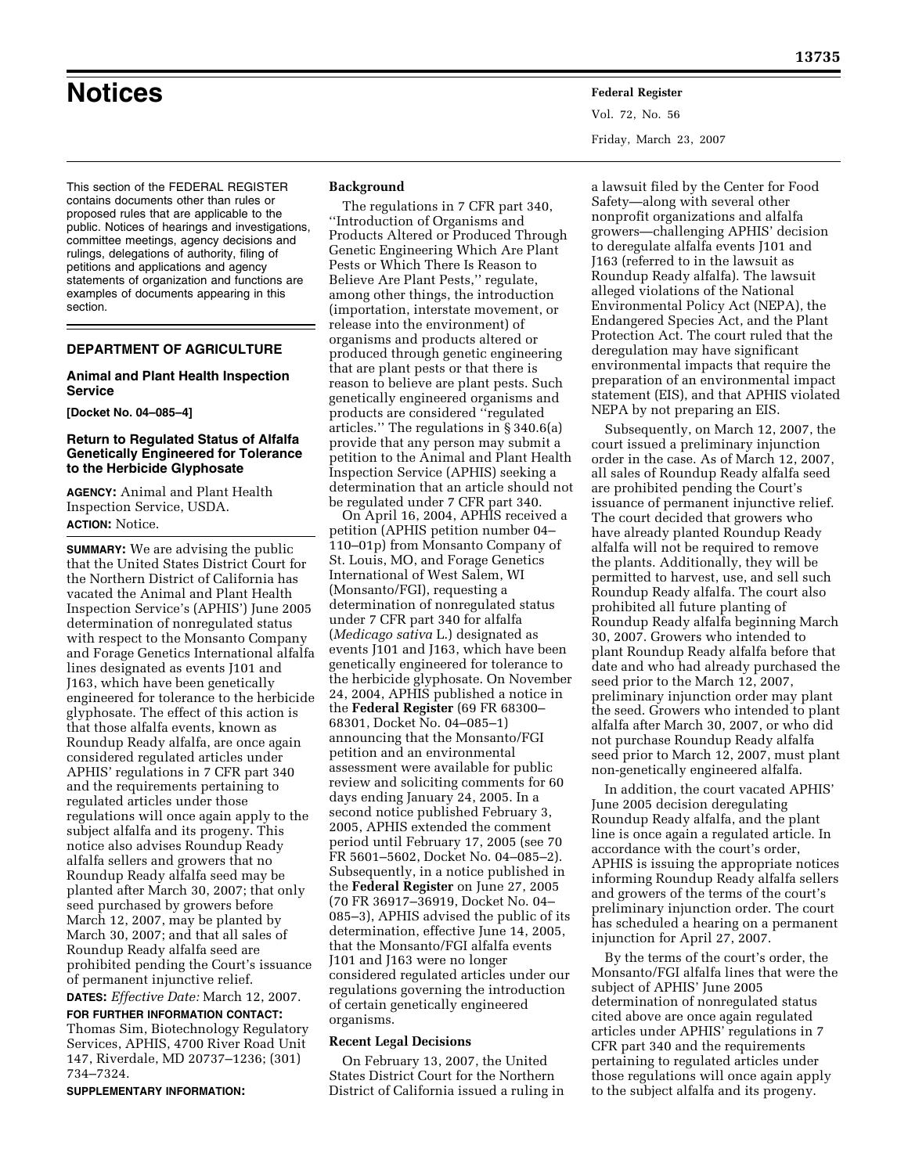**Notices Federal Register**

Vol. 72, No. 56 Friday, March 23, 2007

This section of the FEDERAL REGISTER contains documents other than rules or proposed rules that are applicable to the public. Notices of hearings and investigations, committee meetings, agency decisions and rulings, delegations of authority, filing of petitions and applications and agency statements of organization and functions are examples of documents appearing in this section.

# **DEPARTMENT OF AGRICULTURE**

# **Animal and Plant Health Inspection Service**

**[Docket No. 04–085–4]** 

# **Return to Regulated Status of Alfalfa Genetically Engineered for Tolerance to the Herbicide Glyphosate**

**AGENCY:** Animal and Plant Health Inspection Service, USDA. **ACTION:** Notice.

**SUMMARY:** We are advising the public that the United States District Court for the Northern District of California has vacated the Animal and Plant Health Inspection Service's (APHIS') June 2005 determination of nonregulated status with respect to the Monsanto Company and Forage Genetics International alfalfa lines designated as events J101 and J163, which have been genetically engineered for tolerance to the herbicide glyphosate. The effect of this action is that those alfalfa events, known as Roundup Ready alfalfa, are once again considered regulated articles under APHIS' regulations in 7 CFR part 340 and the requirements pertaining to regulated articles under those regulations will once again apply to the subject alfalfa and its progeny. This notice also advises Roundup Ready alfalfa sellers and growers that no Roundup Ready alfalfa seed may be planted after March 30, 2007; that only seed purchased by growers before March 12, 2007, may be planted by March 30, 2007; and that all sales of Roundup Ready alfalfa seed are prohibited pending the Court's issuance of permanent injunctive relief.

**DATES:** *Effective Date:* March 12, 2007. **FOR FURTHER INFORMATION CONTACT:**  Thomas Sim, Biotechnology Regulatory Services, APHIS, 4700 River Road Unit 147, Riverdale, MD 20737–1236; (301) 734–7324.

**SUPPLEMENTARY INFORMATION:** 

# **Background**

The regulations in 7 CFR part 340, ''Introduction of Organisms and Products Altered or Produced Through Genetic Engineering Which Are Plant Pests or Which There Is Reason to Believe Are Plant Pests,'' regulate, among other things, the introduction (importation, interstate movement, or release into the environment) of organisms and products altered or produced through genetic engineering that are plant pests or that there is reason to believe are plant pests. Such genetically engineered organisms and products are considered ''regulated articles.'' The regulations in § 340.6(a) provide that any person may submit a petition to the Animal and Plant Health Inspection Service (APHIS) seeking a determination that an article should not be regulated under 7 CFR part 340.

On April 16, 2004, APHIS received a petition (APHIS petition number 04– 110–01p) from Monsanto Company of St. Louis, MO, and Forage Genetics International of West Salem, WI (Monsanto/FGI), requesting a determination of nonregulated status under 7 CFR part 340 for alfalfa (*Medicago sativa* L.) designated as events J101 and J163, which have been genetically engineered for tolerance to the herbicide glyphosate. On November 24, 2004, APHIS published a notice in the **Federal Register** (69 FR 68300– 68301, Docket No. 04–085–1) announcing that the Monsanto/FGI petition and an environmental assessment were available for public review and soliciting comments for 60 days ending January 24, 2005. In a second notice published February 3, 2005, APHIS extended the comment period until February 17, 2005 (see 70 FR 5601–5602, Docket No. 04–085–2). Subsequently, in a notice published in the **Federal Register** on June 27, 2005 (70 FR 36917–36919, Docket No. 04– 085–3), APHIS advised the public of its determination, effective June 14, 2005, that the Monsanto/FGI alfalfa events J101 and J163 were no longer considered regulated articles under our regulations governing the introduction of certain genetically engineered organisms.

### **Recent Legal Decisions**

On February 13, 2007, the United States District Court for the Northern District of California issued a ruling in

a lawsuit filed by the Center for Food Safety—along with several other nonprofit organizations and alfalfa growers—challenging APHIS' decision to deregulate alfalfa events J101 and J163 (referred to in the lawsuit as Roundup Ready alfalfa). The lawsuit alleged violations of the National Environmental Policy Act (NEPA), the Endangered Species Act, and the Plant Protection Act. The court ruled that the deregulation may have significant environmental impacts that require the preparation of an environmental impact statement (EIS), and that APHIS violated NEPA by not preparing an EIS.

Subsequently, on March 12, 2007, the court issued a preliminary injunction order in the case. As of March 12, 2007, all sales of Roundup Ready alfalfa seed are prohibited pending the Court's issuance of permanent injunctive relief. The court decided that growers who have already planted Roundup Ready alfalfa will not be required to remove the plants. Additionally, they will be permitted to harvest, use, and sell such Roundup Ready alfalfa. The court also prohibited all future planting of Roundup Ready alfalfa beginning March 30, 2007. Growers who intended to plant Roundup Ready alfalfa before that date and who had already purchased the seed prior to the March 12, 2007, preliminary injunction order may plant the seed. Growers who intended to plant alfalfa after March 30, 2007, or who did not purchase Roundup Ready alfalfa seed prior to March 12, 2007, must plant non-genetically engineered alfalfa.

In addition, the court vacated APHIS' June 2005 decision deregulating Roundup Ready alfalfa, and the plant line is once again a regulated article. In accordance with the court's order, APHIS is issuing the appropriate notices informing Roundup Ready alfalfa sellers and growers of the terms of the court's preliminary injunction order. The court has scheduled a hearing on a permanent injunction for April 27, 2007.

By the terms of the court's order, the Monsanto/FGI alfalfa lines that were the subject of APHIS' June 2005 determination of nonregulated status cited above are once again regulated articles under APHIS' regulations in 7 CFR part 340 and the requirements pertaining to regulated articles under those regulations will once again apply to the subject alfalfa and its progeny.